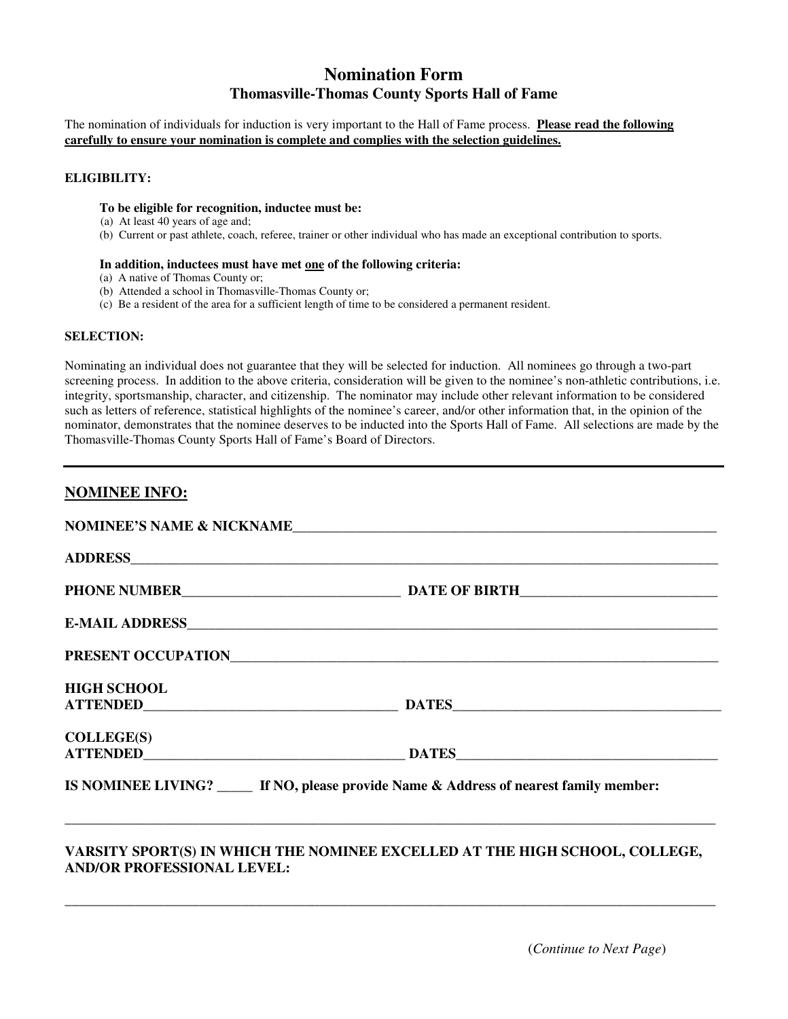# **Nomination Form Thomasville-Thomas County Sports Hall of Fame**

The nomination of individuals for induction is very important to the Hall of Fame process. **Please read the following carefully to ensure your nomination is complete and complies with the selection guidelines.**

## **ELIGIBILITY:**

### **To be eligible for recognition, inductee must be:**

- (a) At least 40 years of age and;
- (b) Current or past athlete, coach, referee, trainer or other individual who has made an exceptional contribution to sports.

#### **In addition, inductees must have met one of the following criteria:**

- (a) A native of Thomas County or;
- (b) Attended a school in Thomasville-Thomas County or;
- (c) Be a resident of the area for a sufficient length of time to be considered a permanent resident.

#### **SELECTION:**

Nominating an individual does not guarantee that they will be selected for induction. All nominees go through a two-part screening process. In addition to the above criteria, consideration will be given to the nominee's non-athletic contributions, i.e. integrity, sportsmanship, character, and citizenship. The nominator may include other relevant information to be considered such as letters of reference, statistical highlights of the nominee's career, and/or other information that, in the opinion of the nominator, demonstrates that the nominee deserves to be inducted into the Sports Hall of Fame. All selections are made by the Thomasville-Thomas County Sports Hall of Fame's Board of Directors.

# **NOMINEE INFO:**

|                                                                                                                  | NOMINEE'S NAME & NICKNAME                                                         |
|------------------------------------------------------------------------------------------------------------------|-----------------------------------------------------------------------------------|
|                                                                                                                  |                                                                                   |
|                                                                                                                  |                                                                                   |
|                                                                                                                  |                                                                                   |
|                                                                                                                  |                                                                                   |
| <b>HIGH SCHOOL</b>                                                                                               | ATTENDED DATES DATES                                                              |
| COLLEGE(S)                                                                                                       |                                                                                   |
|                                                                                                                  | IS NOMINEE LIVING? If NO, please provide Name & Address of nearest family member: |
| VARSITY SPORT(S) IN WHICH THE NOMINEE EXCELLED AT THE HIGH SCHOOL, COLLEGE,<br><b>AND/OR PROFESSIONAL LEVEL:</b> |                                                                                   |

\_\_\_\_\_\_\_\_\_\_\_\_\_\_\_\_\_\_\_\_\_\_\_\_\_\_\_\_\_\_\_\_\_\_\_\_\_\_\_\_\_\_\_\_\_\_\_\_\_\_\_\_\_\_\_\_\_\_\_\_\_\_\_\_\_\_\_\_\_\_\_\_\_\_\_\_\_\_\_\_\_\_\_\_\_\_\_\_\_\_\_\_

(*Continue to Next Page*)